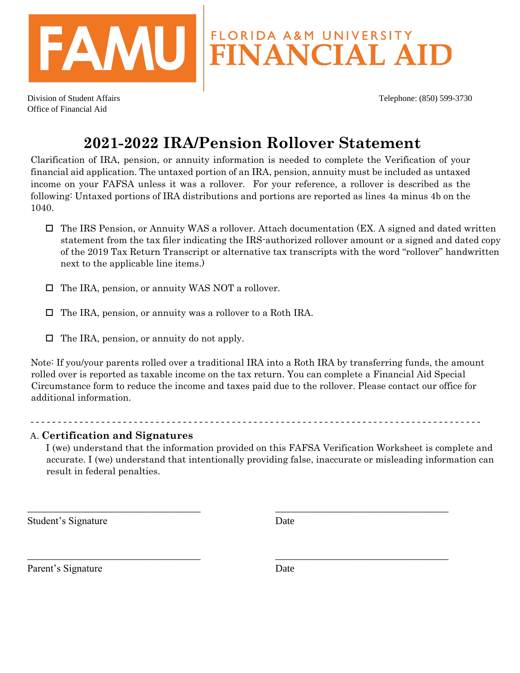

Division of Student Affairs Telephone: (850) 599-3730 Office of Financial Aid

## **2021-2022 IRA/Pension Rollover Statement**

Clarification of IRA, pension, or annuity information is needed to complete the Verification of your financial aid application. The untaxed portion of an IRA, pension, annuity must be included as untaxed income on your FAFSA unless it was a rollover. For your reference, a rollover is described as the following: Untaxed portions of IRA distributions and portions are reported as lines 4a minus 4b on the 1040.

- $\Box$  The IRS Pension, or Annuity WAS a rollover. Attach documentation (EX. A signed and dated written statement from the tax filer indicating the IRS-authorized rollover amount or a signed and dated copy of the 2019 Tax Return Transcript or alternative tax transcripts with the word "rollover" handwritten next to the applicable line items.)
- □ The IRA, pension, or annuity WAS NOT a rollover.
- □ The IRA, pension, or annuity was a rollover to a Roth IRA.
- $\Box$  The IRA, pension, or annuity do not apply.

Note: If you/your parents rolled over a traditional IRA into a Roth IRA by transferring funds, the amount rolled over is reported as taxable income on the tax return. You can complete a Financial Aid Special Circumstance form to reduce the income and taxes paid due to the rollover. Please contact our office for additional information.

- - - - - - - - - - - - - - - - - - - - - - - - - - - - - - - - - - - - - - - - - - - - - - - - - - - - - - - - - - - - - - - - - - - - - - - - - - - - - - - - - - -

\_\_\_\_\_\_\_\_\_\_\_\_\_\_\_\_\_\_\_\_\_\_\_\_\_\_\_\_\_\_\_\_\_\_ \_\_\_\_\_\_\_\_\_\_\_\_\_\_\_\_\_\_\_\_\_\_\_\_\_\_\_\_\_\_\_\_\_\_

\_\_\_\_\_\_\_\_\_\_\_\_\_\_\_\_\_\_\_\_\_\_\_\_\_\_\_\_\_\_\_\_\_\_ \_\_\_\_\_\_\_\_\_\_\_\_\_\_\_\_\_\_\_\_\_\_\_\_\_\_\_\_\_\_\_\_\_\_

## A. **Certification and Signatures**

I (we) understand that the information provided on this FAFSA Verification Worksheet is complete and accurate. I (we) understand that intentionally providing false, inaccurate or misleading information can result in federal penalties.

Student's Signature Date

Parent's Signature Date